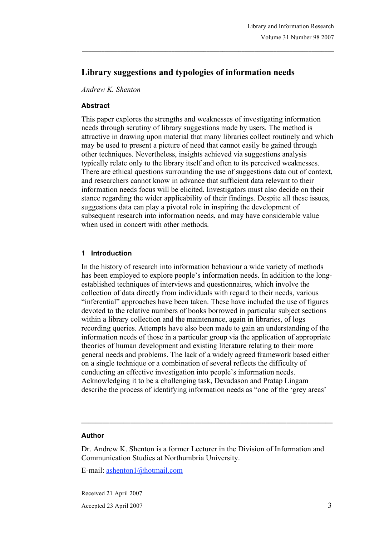# **Library suggestions and typologies of information needs**

 $\mathcal{L}_\text{max}$ 

*Andrew K. Shenton*

#### **Abstract**

This paper explores the strengths and weaknesses of investigating information needs through scrutiny of library suggestions made by users. The method is attractive in drawing upon material that many libraries collect routinely and which may be used to present a picture of need that cannot easily be gained through other techniques. Nevertheless, insights achieved via suggestions analysis typically relate only to the library itself and often to its perceived weaknesses. There are ethical questions surrounding the use of suggestions data out of context, and researchers cannot know in advance that sufficient data relevant to their information needs focus will be elicited. Investigators must also decide on their stance regarding the wider applicability of their findings. Despite all these issues, suggestions data can play a pivotal role in inspiring the development of subsequent research into information needs, and may have considerable value when used in concert with other methods.

#### **1 Introduction**

In the history of research into information behaviour a wide variety of methods has been employed to explore people's information needs. In addition to the longestablished techniques of interviews and questionnaires, which involve the collection of data directly from individuals with regard to their needs, various "inferential" approaches have been taken. These have included the use of figures devoted to the relative numbers of books borrowed in particular subject sections within a library collection and the maintenance, again in libraries, of logs recording queries. Attempts have also been made to gain an understanding of the information needs of those in a particular group via the application of appropriate theories of human development and existing literature relating to their more general needs and problems. The lack of a widely agreed framework based either on a single technique or a combination of several reflects the difficulty of conducting an effective investigation into people's information needs. Acknowledging it to be a challenging task, Devadason and Pratap Lingam describe the process of identifying information needs as "one of the 'grey areas'

#### **Author**

Dr. Andrew K. Shenton is a former Lecturer in the Division of Information and Communication Studies at Northumbria University.

**\_\_\_\_\_\_\_\_\_\_\_\_\_\_\_\_\_\_\_\_\_\_\_\_\_\_\_\_\_\_\_\_\_\_\_\_\_\_\_\_\_\_\_\_\_\_\_\_\_\_\_\_\_\_\_\_\_\_\_\_\_\_\_\_\_\_\_\_\_\_\_**

E-mail: ashenton1@hotmail.com

Received 21 April 2007

Accepted 23 April 2007 3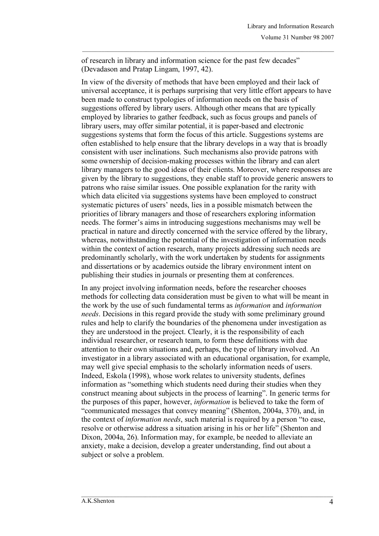of research in library and information science for the past few decades" (Devadason and Pratap Lingam, 1997, 42).

 $\mathcal{L}_\text{max}$ 

In view of the diversity of methods that have been employed and their lack of universal acceptance, it is perhaps surprising that very little effort appears to have been made to construct typologies of information needs on the basis of suggestions offered by library users. Although other means that are typically employed by libraries to gather feedback, such as focus groups and panels of library users, may offer similar potential, it is paper-based and electronic suggestions systems that form the focus of this article. Suggestions systems are often established to help ensure that the library develops in a way that is broadly consistent with user inclinations. Such mechanisms also provide patrons with some ownership of decision-making processes within the library and can alert library managers to the good ideas of their clients. Moreover, where responses are given by the library to suggestions, they enable staff to provide generic answers to patrons who raise similar issues. One possible explanation for the rarity with which data elicited via suggestions systems have been employed to construct systematic pictures of users' needs, lies in a possible mismatch between the priorities of library managers and those of researchers exploring information needs. The former's aims in introducing suggestions mechanisms may well be practical in nature and directly concerned with the service offered by the library, whereas, notwithstanding the potential of the investigation of information needs within the context of action research, many projects addressing such needs are predominantly scholarly, with the work undertaken by students for assignments and dissertations or by academics outside the library environment intent on publishing their studies in journals or presenting them at conferences.

In any project involving information needs, before the researcher chooses methods for collecting data consideration must be given to what will be meant in the work by the use of such fundamental terms as *information* and *information needs*. Decisions in this regard provide the study with some preliminary ground rules and help to clarify the boundaries of the phenomena under investigation as they are understood in the project. Clearly, it is the responsibility of each individual researcher, or research team, to form these definitions with due attention to their own situations and, perhaps, the type of library involved. An investigator in a library associated with an educational organisation, for example, may well give special emphasis to the scholarly information needs of users. Indeed, Eskola (1998), whose work relates to university students, defines information as "something which students need during their studies when they construct meaning about subjects in the process of learning". In generic terms for the purposes of this paper, however, *information* is believed to take the form of "communicated messages that convey meaning" (Shenton, 2004a, 370), and, in the context of *information needs*, such material is required by a person "to ease, resolve or otherwise address a situation arising in his or her life" (Shenton and Dixon, 2004a, 26). Information may, for example, be needed to alleviate an anxiety, make a decision, develop a greater understanding, find out about a subject or solve a problem.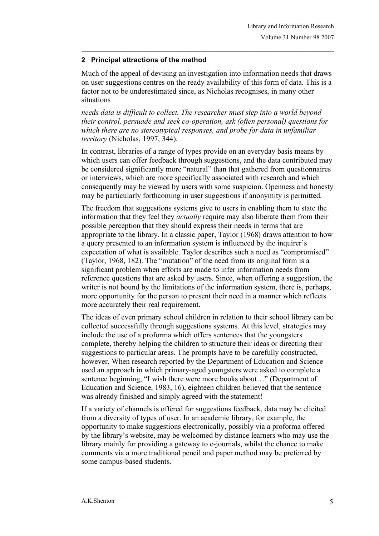# **2 Principal attractions of the method**

Much of the appeal of devising an investigation into information needs that draws on user suggestions centres on the ready availability of this form of data. This is a factor not to be underestimated since, as Nicholas recognises, in many other situations

 $\mathcal{L}_\text{max}$ 

*needs data is difficult to collect. The researcher must step into a world beyond their control, persuade and seek co-operation, ask (often personal) questions for which there are no stereotypical responses, and probe for data in unfamiliar territory* (Nicholas, 1997, 344).

In contrast, libraries of a range of types provide on an everyday basis means by which users can offer feedback through suggestions, and the data contributed may be considered significantly more "natural" than that gathered from questionnaires or interviews, which are more specifically associated with research and which consequently may be viewed by users with some suspicion. Openness and honesty may be particularly forthcoming in user suggestions if anonymity is permitted.

The freedom that suggestions systems give to users in enabling them to state the information that they feel they *actually* require may also liberate them from their possible perception that they should express their needs in terms that are appropriate to the library. In a classic paper, Taylor (1968) draws attention to how a query presented to an information system is influenced by the inquirer's expectation of what is available. Taylor describes such a need as "compromised" (Taylor, 1968, 182). The "mutation" of the need from its original form is a significant problem when efforts are made to infer information needs from reference questions that are asked by users. Since, when offering a suggestion, the writer is not bound by the limitations of the information system, there is, perhaps, more opportunity for the person to present their need in a manner which reflects more accurately their real requirement.

The ideas of even primary school children in relation to their school library can be collected successfully through suggestions systems. At this level, strategies may include the use of a proforma which offers sentences that the youngsters complete, thereby helping the children to structure their ideas or directing their suggestions to particular areas. The prompts have to be carefully constructed, however. When research reported by the Department of Education and Science used an approach in which primary-aged youngsters were asked to complete a sentence beginning, "I wish there were more books about…" (Department of Education and Science, 1983, 16), eighteen children believed that the sentence was already finished and simply agreed with the statement!

If a variety of channels is offered for suggestions feedback, data may be elicited from a diversity of types of user. In an academic library, for example, the opportunity to make suggestions electronically, possibly via a proforma offered by the library's website, may be welcomed by distance learners who may use the library mainly for providing a gateway to e-journals, whilst the chance to make comments via a more traditional pencil and paper method may be preferred by some campus-based students.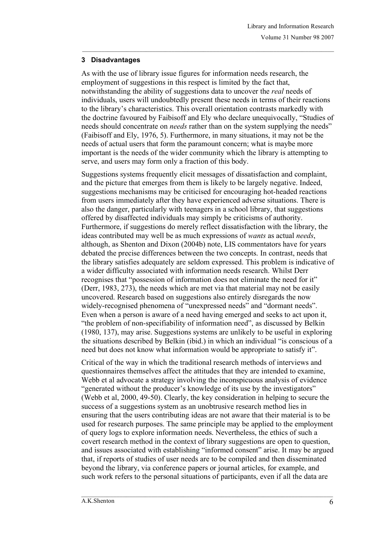### **3 Disadvantages**

As with the use of library issue figures for information needs research, the employment of suggestions in this respect is limited by the fact that, notwithstanding the ability of suggestions data to uncover the *real* needs of individuals, users will undoubtedly present these needs in terms of their reactions to the library's characteristics. This overall orientation contrasts markedly with the doctrine favoured by Faibisoff and Ely who declare unequivocally, "Studies of needs should concentrate on *needs* rather than on the system supplying the needs" (Faibisoff and Ely, 1976, 5). Furthermore, in many situations, it may not be the needs of actual users that form the paramount concern; what is maybe more important is the needs of the wider community which the library is attempting to serve, and users may form only a fraction of this body.

 $\mathcal{L}_\text{max}$ 

Suggestions systems frequently elicit messages of dissatisfaction and complaint, and the picture that emerges from them is likely to be largely negative. Indeed, suggestions mechanisms may be criticised for encouraging hot-headed reactions from users immediately after they have experienced adverse situations. There is also the danger, particularly with teenagers in a school library, that suggestions offered by disaffected individuals may simply be criticisms of authority. Furthermore, if suggestions do merely reflect dissatisfaction with the library, the ideas contributed may well be as much expressions of *wants* as actual *needs*, although, as Shenton and Dixon (2004b) note, LIS commentators have for years debated the precise differences between the two concepts. In contrast, needs that the library satisfies adequately are seldom expressed. This problem is indicative of a wider difficulty associated with information needs research. Whilst Derr recognises that "possession of information does not eliminate the need for it" (Derr, 1983, 273), the needs which are met via that material may not be easily uncovered. Research based on suggestions also entirely disregards the now widely-recognised phenomena of "unexpressed needs" and "dormant needs". Even when a person is aware of a need having emerged and seeks to act upon it, "the problem of non-specifiability of information need", as discussed by Belkin (1980, 137), may arise. Suggestions systems are unlikely to be useful in exploring the situations described by Belkin (ibid.) in which an individual "is conscious of a need but does not know what information would be appropriate to satisfy it".

Critical of the way in which the traditional research methods of interviews and questionnaires themselves affect the attitudes that they are intended to examine, Webb et al advocate a strategy involving the inconspicuous analysis of evidence "generated without the producer's knowledge of its use by the investigators" (Webb et al, 2000, 49-50). Clearly, the key consideration in helping to secure the success of a suggestions system as an unobtrusive research method lies in ensuring that the users contributing ideas are not aware that their material is to be used for research purposes. The same principle may be applied to the employment of query logs to explore information needs. Nevertheless, the ethics of such a covert research method in the context of library suggestions are open to question, and issues associated with establishing "informed consent" arise. It may be argued that, if reports of studies of user needs are to be compiled and then disseminated beyond the library, via conference papers or journal articles, for example, and such work refers to the personal situations of participants, even if all the data are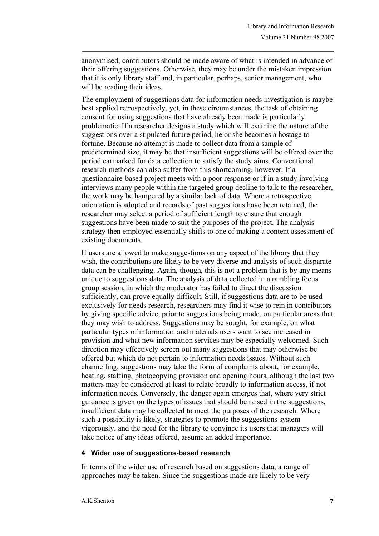anonymised, contributors should be made aware of what is intended in advance of their offering suggestions. Otherwise, they may be under the mistaken impression that it is only library staff and, in particular, perhaps, senior management, who will be reading their ideas.

 $\mathcal{L}_\text{max}$ 

The employment of suggestions data for information needs investigation is maybe best applied retrospectively, yet, in these circumstances, the task of obtaining consent for using suggestions that have already been made is particularly problematic. If a researcher designs a study which will examine the nature of the suggestions over a stipulated future period, he or she becomes a hostage to fortune. Because no attempt is made to collect data from a sample of predetermined size, it may be that insufficient suggestions will be offered over the period earmarked for data collection to satisfy the study aims. Conventional research methods can also suffer from this shortcoming, however. If a questionnaire-based project meets with a poor response or if in a study involving interviews many people within the targeted group decline to talk to the researcher, the work may be hampered by a similar lack of data. Where a retrospective orientation is adopted and records of past suggestions have been retained, the researcher may select a period of sufficient length to ensure that enough suggestions have been made to suit the purposes of the project. The analysis strategy then employed essentially shifts to one of making a content assessment of existing documents.

If users are allowed to make suggestions on any aspect of the library that they wish, the contributions are likely to be very diverse and analysis of such disparate data can be challenging. Again, though, this is not a problem that is by any means unique to suggestions data. The analysis of data collected in a rambling focus group session, in which the moderator has failed to direct the discussion sufficiently, can prove equally difficult. Still, if suggestions data are to be used exclusively for needs research, researchers may find it wise to rein in contributors by giving specific advice, prior to suggestions being made, on particular areas that they may wish to address. Suggestions may be sought, for example, on what particular types of information and materials users want to see increased in provision and what new information services may be especially welcomed. Such direction may effectively screen out many suggestions that may otherwise be offered but which do not pertain to information needs issues. Without such channelling, suggestions may take the form of complaints about, for example, heating, staffing, photocopying provision and opening hours, although the last two matters may be considered at least to relate broadly to information access, if not information needs. Conversely, the danger again emerges that, where very strict guidance is given on the types of issues that should be raised in the suggestions, insufficient data may be collected to meet the purposes of the research. Where such a possibility is likely, strategies to promote the suggestions system vigorously, and the need for the library to convince its users that managers will take notice of any ideas offered, assume an added importance.

### **4 Wider use of suggestions-based research**

In terms of the wider use of research based on suggestions data, a range of approaches may be taken. Since the suggestions made are likely to be very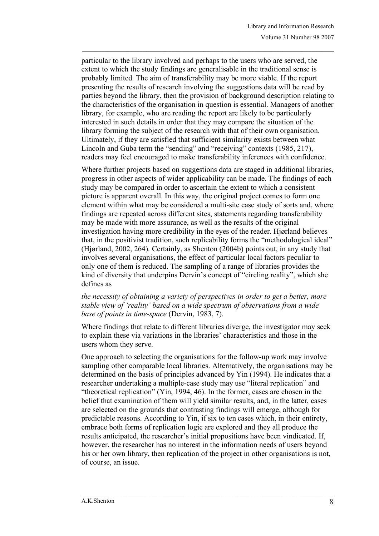particular to the library involved and perhaps to the users who are served, the extent to which the study findings are generalisable in the traditional sense is probably limited. The aim of transferability may be more viable. If the report presenting the results of research involving the suggestions data will be read by parties beyond the library, then the provision of background description relating to the characteristics of the organisation in question is essential. Managers of another library, for example, who are reading the report are likely to be particularly interested in such details in order that they may compare the situation of the library forming the subject of the research with that of their own organisation. Ultimately, if they are satisfied that sufficient similarity exists between what Lincoln and Guba term the "sending" and "receiving" contexts (1985, 217), readers may feel encouraged to make transferability inferences with confidence.

 $\mathcal{L}_\text{max}$ 

Where further projects based on suggestions data are staged in additional libraries, progress in other aspects of wider applicability can be made. The findings of each study may be compared in order to ascertain the extent to which a consistent picture is apparent overall. In this way, the original project comes to form one element within what may be considered a multi-site case study of sorts and, where findings are repeated across different sites, statements regarding transferability may be made with more assurance, as well as the results of the original investigation having more credibility in the eyes of the reader. Hjørland believes that, in the positivist tradition, such replicability forms the "methodological ideal" (Hjørland, 2002, 264). Certainly, as Shenton (2004b) points out, in any study that involves several organisations, the effect of particular local factors peculiar to only one of them is reduced. The sampling of a range of libraries provides the kind of diversity that underpins Dervin's concept of "circling reality", which she defines as

#### *the necessity of obtaining a variety of perspectives in order to get a better, more stable view of 'reality' based on a wide spectrum of observations from a wide base of points in time-space* (Dervin, 1983, 7).

Where findings that relate to different libraries diverge, the investigator may seek to explain these via variations in the libraries' characteristics and those in the users whom they serve.

One approach to selecting the organisations for the follow-up work may involve sampling other comparable local libraries. Alternatively, the organisations may be determined on the basis of principles advanced by Yin (1994). He indicates that a researcher undertaking a multiple-case study may use "literal replication" and "theoretical replication" (Yin, 1994, 46). In the former, cases are chosen in the belief that examination of them will yield similar results, and, in the latter, cases are selected on the grounds that contrasting findings will emerge, although for predictable reasons. According to Yin, if six to ten cases which, in their entirety, embrace both forms of replication logic are explored and they all produce the results anticipated, the researcher's initial propositions have been vindicated. If, however, the researcher has no interest in the information needs of users beyond his or her own library, then replication of the project in other organisations is not, of course, an issue.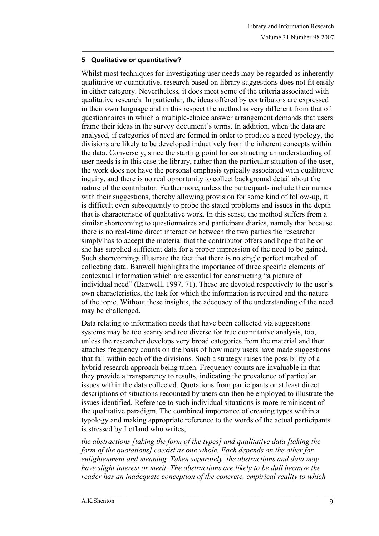# **5 Qualitative or quantitative?**

Whilst most techniques for investigating user needs may be regarded as inherently qualitative or quantitative, research based on library suggestions does not fit easily in either category. Nevertheless, it does meet some of the criteria associated with qualitative research. In particular, the ideas offered by contributors are expressed in their own language and in this respect the method is very different from that of questionnaires in which a multiple-choice answer arrangement demands that users frame their ideas in the survey document's terms. In addition, when the data are analysed, if categories of need are formed in order to produce a need typology, the divisions are likely to be developed inductively from the inherent concepts within the data. Conversely, since the starting point for constructing an understanding of user needs is in this case the library, rather than the particular situation of the user, the work does not have the personal emphasis typically associated with qualitative inquiry, and there is no real opportunity to collect background detail about the nature of the contributor. Furthermore, unless the participants include their names with their suggestions, thereby allowing provision for some kind of follow-up, it is difficult even subsequently to probe the stated problems and issues in the depth that is characteristic of qualitative work. In this sense, the method suffers from a similar shortcoming to questionnaires and participant diaries, namely that because there is no real-time direct interaction between the two parties the researcher simply has to accept the material that the contributor offers and hope that he or she has supplied sufficient data for a proper impression of the need to be gained. Such shortcomings illustrate the fact that there is no single perfect method of collecting data. Banwell highlights the importance of three specific elements of contextual information which are essential for constructing "a picture of individual need" (Banwell, 1997, 71). These are devoted respectively to the user's own characteristics, the task for which the information is required and the nature of the topic. Without these insights, the adequacy of the understanding of the need may be challenged.

 $\mathcal{L}_\text{max}$ 

Data relating to information needs that have been collected via suggestions systems may be too scanty and too diverse for true quantitative analysis, too, unless the researcher develops very broad categories from the material and then attaches frequency counts on the basis of how many users have made suggestions that fall within each of the divisions. Such a strategy raises the possibility of a hybrid research approach being taken. Frequency counts are invaluable in that they provide a transparency to results, indicating the prevalence of particular issues within the data collected. Quotations from participants or at least direct descriptions of situations recounted by users can then be employed to illustrate the issues identified. Reference to such individual situations is more reminiscent of the qualitative paradigm. The combined importance of creating types within a typology and making appropriate reference to the words of the actual participants is stressed by Lofland who writes,

*the abstractions [taking the form of the types] and qualitative data [taking the form of the quotations] coexist as one whole. Each depends on the other for enlightenment and meaning. Taken separately, the abstractions and data may have slight interest or merit. The abstractions are likely to be dull because the reader has an inadequate conception of the concrete, empirical reality to which*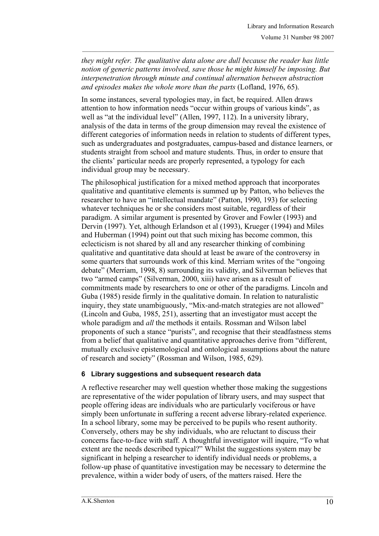*they might refer. The qualitative data alone are dull because the reader has little notion of generic patterns involved, save those he might himself be imposing. But interpenetration through minute and continual alternation between abstraction and episodes makes the whole more than the parts* (Lofland, 1976, 65).

 $\mathcal{L}_\text{max}$ 

In some instances, several typologies may, in fact, be required. Allen draws attention to how information needs "occur within groups of various kinds", as well as "at the individual level" (Allen, 1997, 112). In a university library, analysis of the data in terms of the group dimension may reveal the existence of different categories of information needs in relation to students of different types, such as undergraduates and postgraduates, campus-based and distance learners, or students straight from school and mature students. Thus, in order to ensure that the clients' particular needs are properly represented, a typology for each individual group may be necessary.

The philosophical justification for a mixed method approach that incorporates qualitative and quantitative elements is summed up by Patton, who believes the researcher to have an "intellectual mandate" (Patton, 1990, 193) for selecting whatever techniques he or she considers most suitable, regardless of their paradigm. A similar argument is presented by Grover and Fowler (1993) and Dervin (1997). Yet, although Erlandson et al (1993), Krueger (1994) and Miles and Huberman (1994) point out that such mixing has become common, this eclecticism is not shared by all and any researcher thinking of combining qualitative and quantitative data should at least be aware of the controversy in some quarters that surrounds work of this kind. Merriam writes of the "ongoing debate" (Merriam, 1998, 8) surrounding its validity, and Silverman believes that two "armed camps" (Silverman, 2000, xiii) have arisen as a result of commitments made by researchers to one or other of the paradigms. Lincoln and Guba (1985) reside firmly in the qualitative domain. In relation to naturalistic inquiry, they state unambiguously, "Mix-and-match strategies are not allowed" (Lincoln and Guba, 1985, 251), asserting that an investigator must accept the whole paradigm and *all* the methods it entails. Rossman and Wilson label proponents of such a stance "purists", and recognise that their steadfastness stems from a belief that qualitative and quantitative approaches derive from "different, mutually exclusive epistemological and ontological assumptions about the nature of research and society" (Rossman and Wilson, 1985, 629).

# **6 Library suggestions and subsequent research data**

A reflective researcher may well question whether those making the suggestions are representative of the wider population of library users, and may suspect that people offering ideas are individuals who are particularly vociferous or have simply been unfortunate in suffering a recent adverse library-related experience. In a school library, some may be perceived to be pupils who resent authority. Conversely, others may be shy individuals, who are reluctant to discuss their concerns face-to-face with staff. A thoughtful investigator will inquire, "To what extent are the needs described typical?" Whilst the suggestions system may be significant in helping a researcher to identify individual needs or problems, a follow-up phase of quantitative investigation may be necessary to determine the prevalence, within a wider body of users, of the matters raised. Here the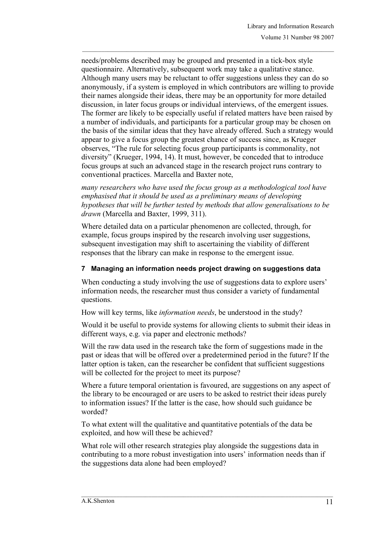needs/problems described may be grouped and presented in a tick-box style questionnaire. Alternatively, subsequent work may take a qualitative stance. Although many users may be reluctant to offer suggestions unless they can do so anonymously, if a system is employed in which contributors are willing to provide their names alongside their ideas, there may be an opportunity for more detailed discussion, in later focus groups or individual interviews, of the emergent issues. The former are likely to be especially useful if related matters have been raised by a number of individuals, and participants for a particular group may be chosen on the basis of the similar ideas that they have already offered. Such a strategy would appear to give a focus group the greatest chance of success since, as Krueger observes, "The rule for selecting focus group participants is commonality, not diversity" (Krueger, 1994, 14). It must, however, be conceded that to introduce focus groups at such an advanced stage in the research project runs contrary to conventional practices. Marcella and Baxter note,

 $\mathcal{L}_\text{max}$ 

*many researchers who have used the focus group as a methodological tool have emphasised that it should be used as a preliminary means of developing hypotheses that will be further tested by methods that allow generalisations to be drawn* (Marcella and Baxter, 1999, 311).

Where detailed data on a particular phenomenon are collected, through, for example, focus groups inspired by the research involving user suggestions, subsequent investigation may shift to ascertaining the viability of different responses that the library can make in response to the emergent issue.

### **7 Managing an information needs project drawing on suggestions data**

When conducting a study involving the use of suggestions data to explore users' information needs, the researcher must thus consider a variety of fundamental questions.

How will key terms, like *information needs*, be understood in the study?

Would it be useful to provide systems for allowing clients to submit their ideas in different ways, e.g. via paper and electronic methods?

Will the raw data used in the research take the form of suggestions made in the past or ideas that will be offered over a predetermined period in the future? If the latter option is taken, can the researcher be confident that sufficient suggestions will be collected for the project to meet its purpose?

Where a future temporal orientation is favoured, are suggestions on any aspect of the library to be encouraged or are users to be asked to restrict their ideas purely to information issues? If the latter is the case, how should such guidance be worded?

To what extent will the qualitative and quantitative potentials of the data be exploited, and how will these be achieved?

What role will other research strategies play alongside the suggestions data in contributing to a more robust investigation into users' information needs than if the suggestions data alone had been employed?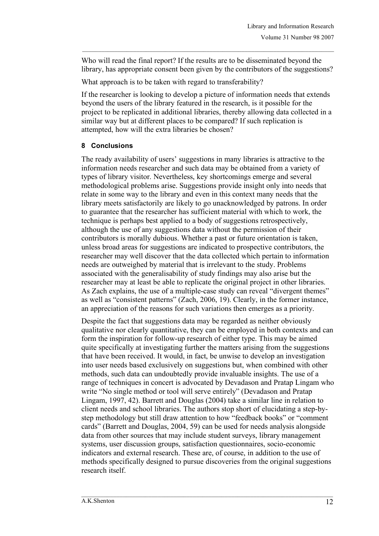Who will read the final report? If the results are to be disseminated beyond the library, has appropriate consent been given by the contributors of the suggestions?

 $\mathcal{L}_\text{max}$ 

What approach is to be taken with regard to transferability?

If the researcher is looking to develop a picture of information needs that extends beyond the users of the library featured in the research, is it possible for the project to be replicated in additional libraries, thereby allowing data collected in a similar way but at different places to be compared? If such replication is attempted, how will the extra libraries be chosen?

### **8 Conclusions**

The ready availability of users' suggestions in many libraries is attractive to the information needs researcher and such data may be obtained from a variety of types of library visitor. Nevertheless, key shortcomings emerge and several methodological problems arise. Suggestions provide insight only into needs that relate in some way to the library and even in this context many needs that the library meets satisfactorily are likely to go unacknowledged by patrons. In order to guarantee that the researcher has sufficient material with which to work, the technique is perhaps best applied to a body of suggestions retrospectively, although the use of any suggestions data without the permission of their contributors is morally dubious. Whether a past or future orientation is taken, unless broad areas for suggestions are indicated to prospective contributors, the researcher may well discover that the data collected which pertain to information needs are outweighed by material that is irrelevant to the study. Problems associated with the generalisability of study findings may also arise but the researcher may at least be able to replicate the original project in other libraries. As Zach explains, the use of a multiple-case study can reveal "divergent themes" as well as "consistent patterns" (Zach, 2006, 19). Clearly, in the former instance, an appreciation of the reasons for such variations then emerges as a priority.

Despite the fact that suggestions data may be regarded as neither obviously qualitative nor clearly quantitative, they can be employed in both contexts and can form the inspiration for follow-up research of either type. This may be aimed quite specifically at investigating further the matters arising from the suggestions that have been received. It would, in fact, be unwise to develop an investigation into user needs based exclusively on suggestions but, when combined with other methods, such data can undoubtedly provide invaluable insights. The use of a range of techniques in concert is advocated by Devadason and Pratap Lingam who write "No single method or tool will serve entirely" (Devadason and Pratap Lingam, 1997, 42). Barrett and Douglas (2004) take a similar line in relation to client needs and school libraries. The authors stop short of elucidating a step-bystep methodology but still draw attention to how "feedback books" or "comment cards" (Barrett and Douglas, 2004, 59) can be used for needs analysis alongside data from other sources that may include student surveys, library management systems, user discussion groups, satisfaction questionnaires, socio-economic indicators and external research. These are, of course, in addition to the use of methods specifically designed to pursue discoveries from the original suggestions research itself.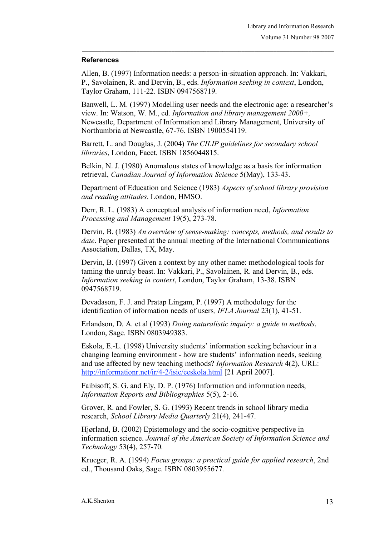### **References**

Allen, B. (1997) Information needs: a person-in-situation approach. In: Vakkari, P., Savolainen, R. and Dervin, B., eds. *Information seeking in context*, London, Taylor Graham, 111-22. ISBN 0947568719.

 $\mathcal{L}_\text{max}$ 

Banwell, L. M. (1997) Modelling user needs and the electronic age: a researcher's view. In: Watson, W. M., ed. *Information and library management 2000+,* Newcastle, Department of Information and Library Management, University of Northumbria at Newcastle, 67-76. ISBN 1900554119.

Barrett, L. and Douglas, J. (2004) *The CILIP guidelines for secondary school libraries*, London, Facet. ISBN 1856044815.

Belkin, N. J. (1980) Anomalous states of knowledge as a basis for information retrieval, *Canadian Journal of Information Science* 5(May), 133-43.

Department of Education and Science (1983) *Aspects of school library provision and reading attitudes*. London, HMSO.

Derr, R. L. (1983) A conceptual analysis of information need, *Information Processing and Management* 19(5), 273-78.

Dervin, B. (1983) *An overview of sense-making: concepts, methods, and results to date*. Paper presented at the annual meeting of the International Communications Association, Dallas, TX, May.

Dervin, B. (1997) Given a context by any other name: methodological tools for taming the unruly beast. In: Vakkari, P., Savolainen, R. and Dervin, B., eds. *Information seeking in context*, London, Taylor Graham, 13-38. ISBN 0947568719.

Devadason, F. J. and Pratap Lingam, P. (1997) A methodology for the identification of information needs of users*, IFLA Journal* 23(1), 41-51.

Erlandson, D. A. et al (1993) *Doing naturalistic inquiry: a guide to methods*, London, Sage. ISBN 0803949383.

Eskola, E.-L. (1998) University students' information seeking behaviour in a changing learning environment - how are students' information needs, seeking and use affected by new teaching methods? *Information Research* 4(2), URL: http://informationr.net/ir/4-2/isic/eeskola.html [21 April 2007].

Faibisoff, S. G. and Ely, D. P. (1976) Information and information needs, *Information Reports and Bibliographies* 5(5), 2-16.

Grover, R. and Fowler, S. G. (1993) Recent trends in school library media research, *School Library Media Quarterly* 21(4), 241-47.

Hjørland, B. (2002) Epistemology and the socio-cognitive perspective in information science. *Journal of the American Society of Information Science and Technology* 53(4), 257-70.

Krueger, R. A. (1994) *Focus groups: a practical guide for applied research*, 2nd ed., Thousand Oaks, Sage. ISBN 0803955677.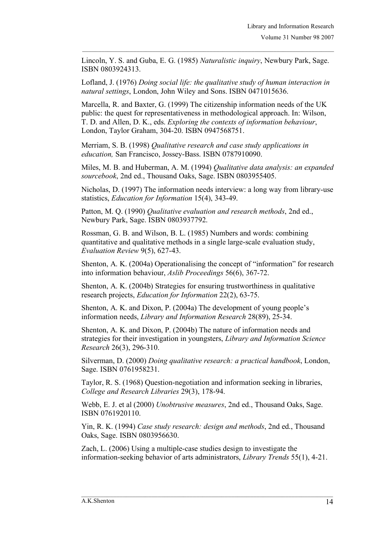Lincoln, Y. S. and Guba, E. G. (1985) *Naturalistic inquiry*, Newbury Park, Sage. ISBN 0803924313.

 $\mathcal{L}_\text{max}$ 

Lofland, J. (1976) *Doing social life: the qualitative study of human interaction in natural settings*, London, John Wiley and Sons. ISBN 0471015636.

Marcella, R. and Baxter, G. (1999) The citizenship information needs of the UK public: the quest for representativeness in methodological approach. In: Wilson, T. D. and Allen, D. K., eds. *Exploring the contexts of information behaviour*, London, Taylor Graham, 304-20. ISBN 0947568751.

Merriam, S. B. (1998) *Qualitative research and case study applications in education,* San Francisco, Jossey-Bass. ISBN 0787910090.

Miles, M. B. and Huberman, A. M. (1994) *Qualitative data analysis: an expanded sourcebook*, 2nd ed., Thousand Oaks, Sage. ISBN 0803955405.

Nicholas, D. (1997) The information needs interview: a long way from library-use statistics, *Education for Information* 15(4), 343-49.

Patton, M. Q. (1990) *Qualitative evaluation and research methods*, 2nd ed., Newbury Park, Sage. ISBN 0803937792.

Rossman, G. B. and Wilson, B. L. (1985) Numbers and words: combining quantitative and qualitative methods in a single large-scale evaluation study, *Evaluation Review* 9(5), 627-43.

Shenton, A. K. (2004a) Operationalising the concept of "information" for research into information behaviour, *Aslib Proceedings* 56(6), 367-72.

Shenton, A. K. (2004b) Strategies for ensuring trustworthiness in qualitative research projects, *Education for Information* 22(2), 63-75.

Shenton, A. K. and Dixon, P. (2004a) The development of young people's information needs, *Library and Information Research* 28(89), 25-34.

Shenton, A. K. and Dixon, P. (2004b) The nature of information needs and strategies for their investigation in youngsters, *Library and Information Science Research* 26(3), 296-310.

Silverman, D. (2000) *Doing qualitative research: a practical handbook*, London, Sage. ISBN 0761958231.

Taylor, R. S. (1968) Question-negotiation and information seeking in libraries, *College and Research Libraries* 29(3), 178-94.

Webb, E. J. et al (2000) *Unobtrusive measures*, 2nd ed., Thousand Oaks, Sage. ISBN 0761920110.

Yin, R. K. (1994) *Case study research: design and methods*, 2nd ed., Thousand Oaks, Sage. ISBN 0803956630.

Zach, L. (2006) Using a multiple-case studies design to investigate the information-seeking behavior of arts administrators, *Library Trends* 55(1), 4-21.